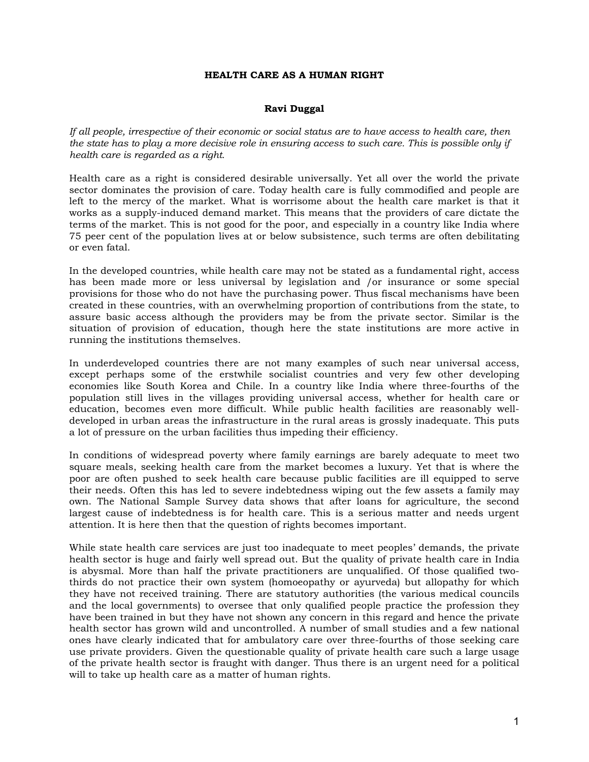## **HEALTH CARE AS A HUMAN RIGHT**

## **Ravi Duggal**

*If all people, irrespective of their economic or social status are to have access to health care, then the state has to play a more decisive role in ensuring access to such care. This is possible only if health care is regarded as a right.* 

Health care as a right is considered desirable universally. Yet all over the world the private sector dominates the provision of care. Today health care is fully commodified and people are left to the mercy of the market. What is worrisome about the health care market is that it works as a supply-induced demand market. This means that the providers of care dictate the terms of the market. This is not good for the poor, and especially in a country like India where 75 peer cent of the population lives at or below subsistence, such terms are often debilitating or even fatal.

In the developed countries, while health care may not be stated as a fundamental right, access has been made more or less universal by legislation and /or insurance or some special provisions for those who do not have the purchasing power. Thus fiscal mechanisms have been created in these countries, with an overwhelming proportion of contributions from the state, to assure basic access although the providers may be from the private sector. Similar is the situation of provision of education, though here the state institutions are more active in running the institutions themselves.

In underdeveloped countries there are not many examples of such near universal access, except perhaps some of the erstwhile socialist countries and very few other developing economies like South Korea and Chile. In a country like India where three-fourths of the population still lives in the villages providing universal access, whether for health care or education, becomes even more difficult. While public health facilities are reasonably welldeveloped in urban areas the infrastructure in the rural areas is grossly inadequate. This puts a lot of pressure on the urban facilities thus impeding their efficiency.

In conditions of widespread poverty where family earnings are barely adequate to meet two square meals, seeking health care from the market becomes a luxury. Yet that is where the poor are often pushed to seek health care because public facilities are ill equipped to serve their needs. Often this has led to severe indebtedness wiping out the few assets a family may own. The National Sample Survey data shows that after loans for agriculture, the second largest cause of indebtedness is for health care. This is a serious matter and needs urgent attention. It is here then that the question of rights becomes important.

While state health care services are just too inadequate to meet peoples' demands, the private health sector is huge and fairly well spread out. But the quality of private health care in India is abysmal. More than half the private practitioners are unqualified. Of those qualified twothirds do not practice their own system (homoeopathy or ayurveda) but allopathy for which they have not received training. There are statutory authorities (the various medical councils and the local governments) to oversee that only qualified people practice the profession they have been trained in but they have not shown any concern in this regard and hence the private health sector has grown wild and uncontrolled. A number of small studies and a few national ones have clearly indicated that for ambulatory care over three-fourths of those seeking care use private providers. Given the questionable quality of private health care such a large usage of the private health sector is fraught with danger. Thus there is an urgent need for a political will to take up health care as a matter of human rights.